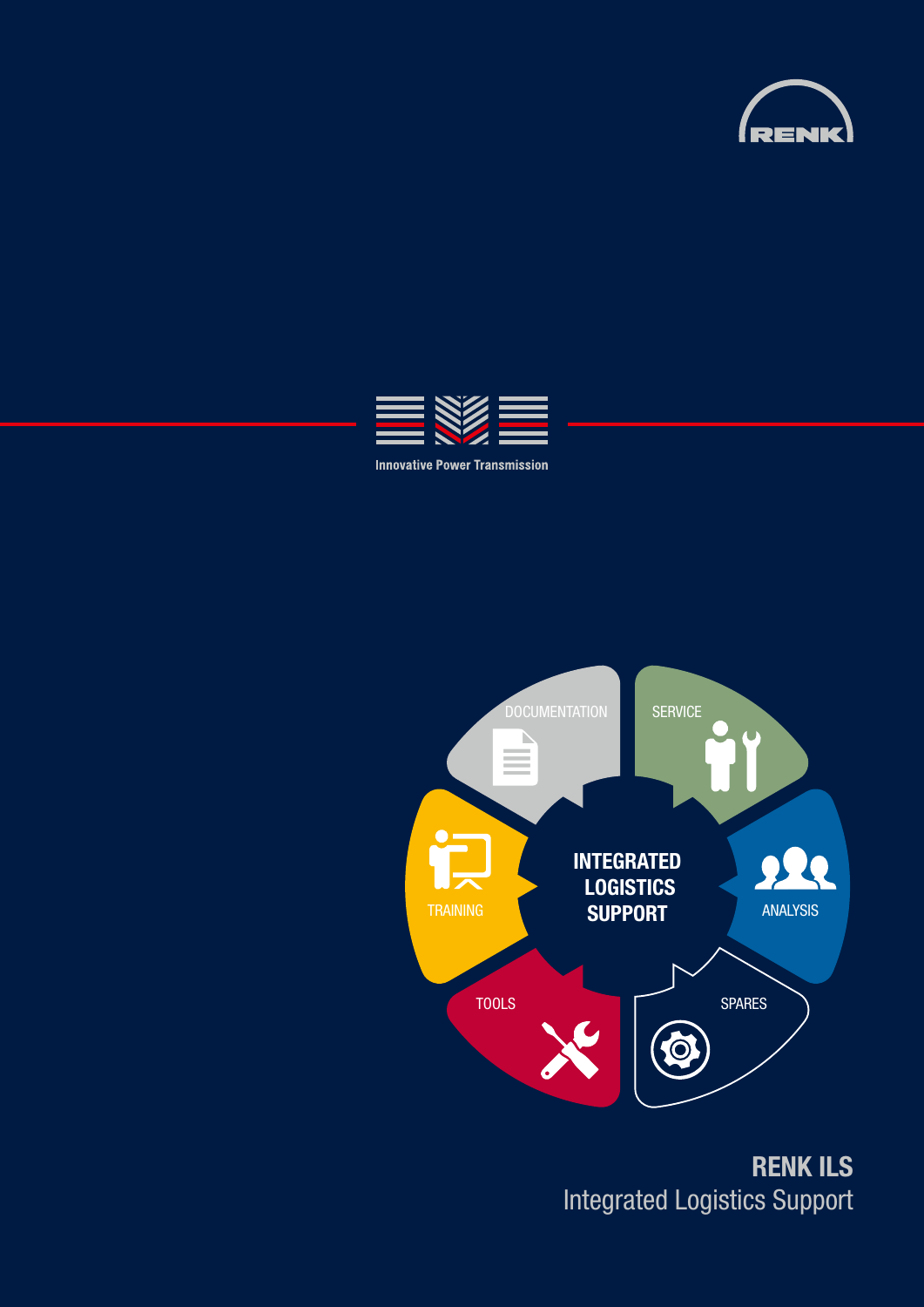





**RENK ILS** Integrated Logistics Support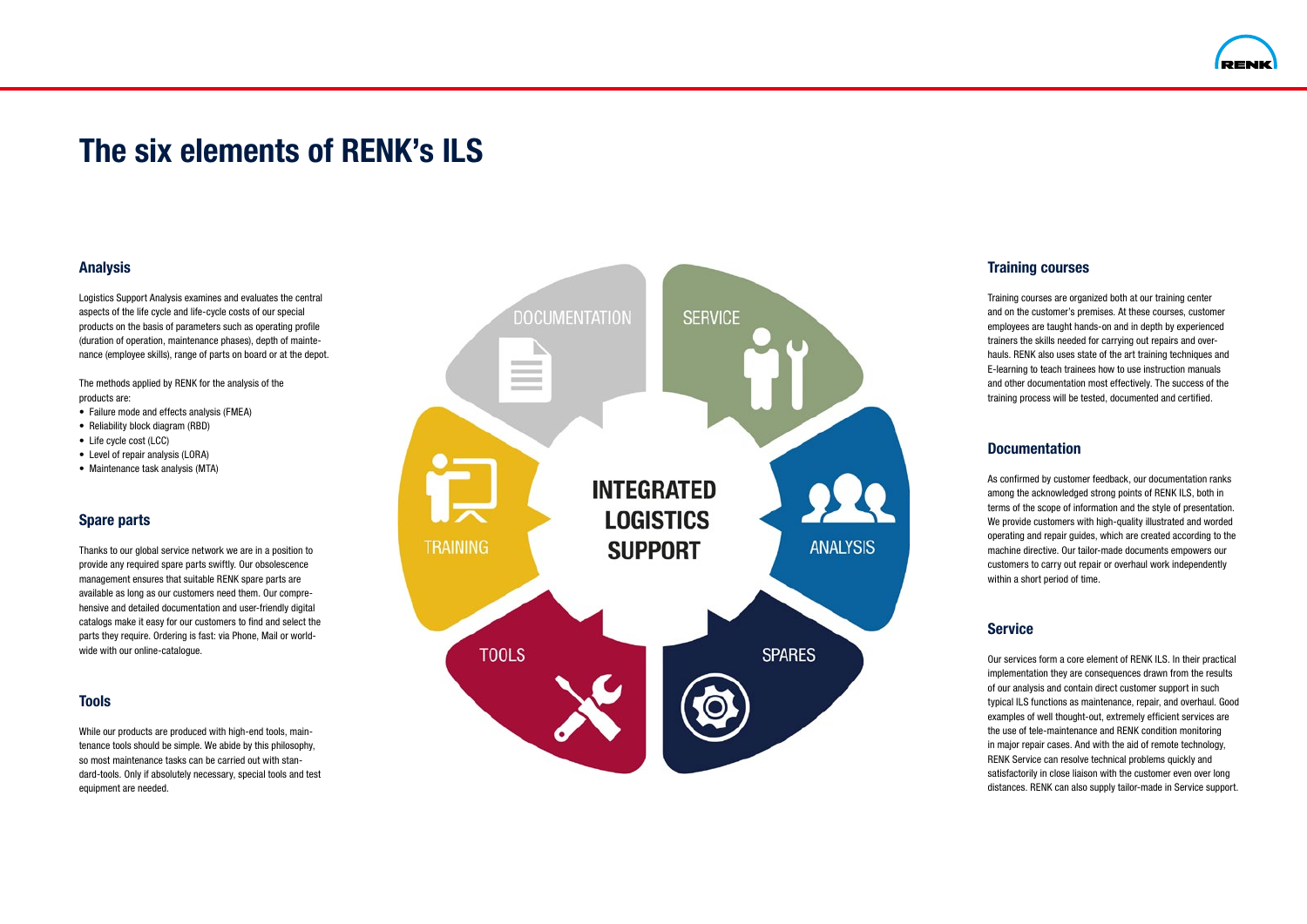# **The six elements of RENK's ILS**

#### **Analysis**

Logistics Support Analysis examines and evaluates the central aspects of the life cycle and life-cycle costs of our special products on the basis of parameters such as operating profile (duration of operation, maintenance phases), depth of mainte nance (employee skills), range of parts on board or at the depot.

The methods applied by RENK for the analysis of the products are:

- Failure mode and effects analysis (FMEA)
- Reliability block diagram (RBD)
- Life cycle cost (LCC)
- Level of repair analysis (LORA)
- Maintenance task analysis (MTA)

## **Spare parts**

Thanks to our global service network we are in a position to provide any required spare parts swiftly. Our obsolescence management ensures that suitable RENK spare parts are available as long as our customers need them. Our compre hensive and detailed documentation and user-friendly digital catalogs make it easy for our customers to find and select the parts they require. Ordering is fast: via Phone, Mail or world wide with our online-catalogue.

### **Tools**

While our products are produced with high-end tools, maintenance tools should be simple. We abide by this philosophy, so most maintenance tasks can be carried out with standard-tools. Only if absolutely necessary, special tools and test equipment are needed.





# **Training courses**

Training courses are organized both at our training center and on the customer's premises. At these courses, customer employees are taught hands-on and in depth by experienced trainers the skills needed for carrying out repairs and overhauls. RENK also uses state of the art training techniques and E-learning to teach trainees how to use instruction manuals and other documentation most effectively. The success of the training process will be tested, documented and certified.

## **Documentation**

As confirmed by customer feedback, our documentation ranks among the acknowledged strong points of RENK ILS, both in terms of the scope of information and the style of presentation. We provide customers with high-quality illustrated and worded operating and repair guides, which are created according to the machine directive. Our tailor-made documents empowers our customers to carry out repair or overhaul work independently within a short period of time.

# **Service**

Our services form a core element of RENK ILS. In their practical implementation they are consequences drawn from the results of our analysis and contain direct customer support in such typical ILS functions as maintenance, repair, and overhaul. Good examples of well thought-out, extremely efficient services are the use of tele-maintenance and RENK condition monitoring in major repair cases. And with the aid of remote technology, RENK Service can resolve technical problems quickly and satisfactorily in close liaison with the customer even over long distances. RENK can also supply tailor-made in Service support.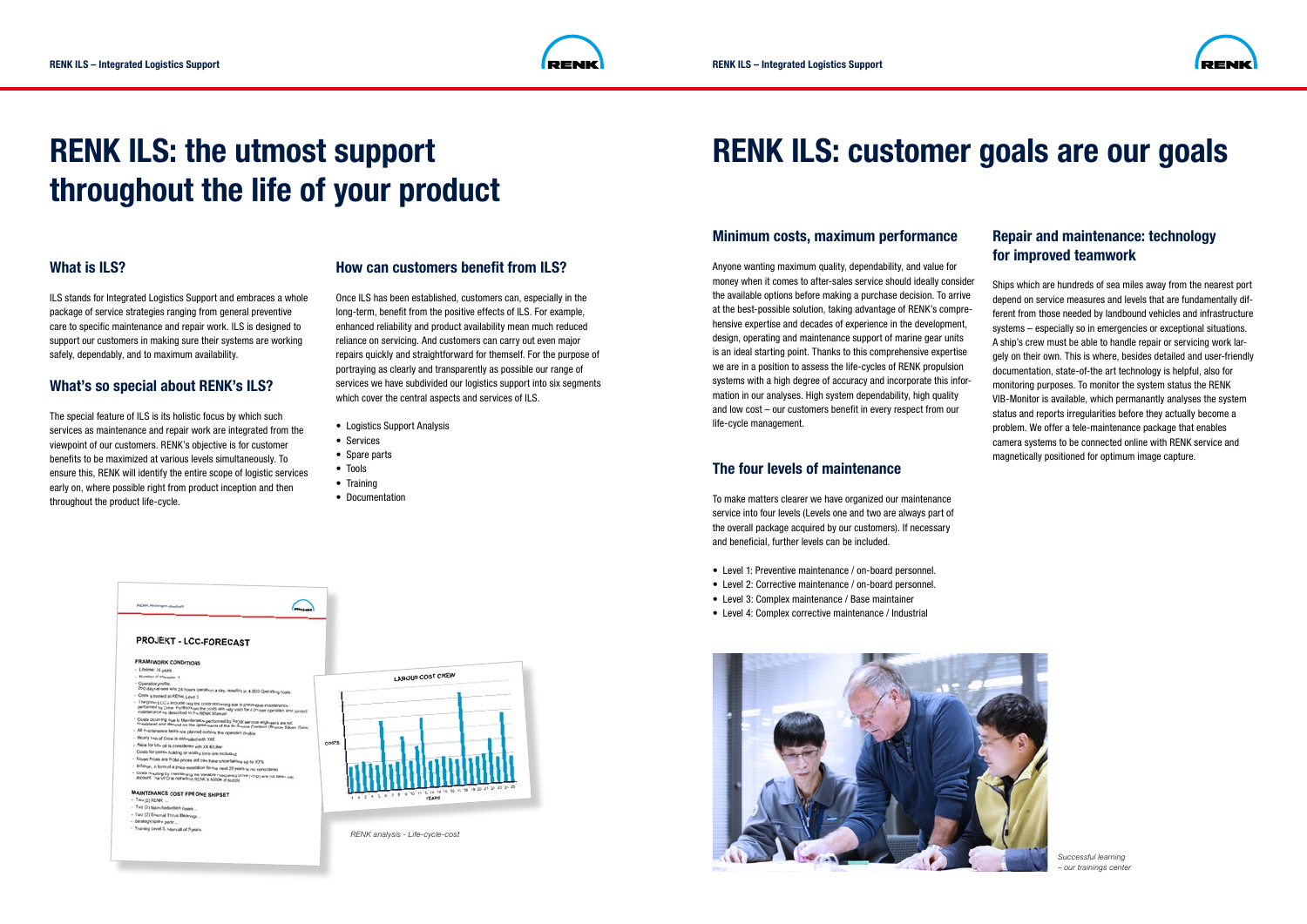

# **RENK ILS: customer goals are our goals**



# **RENK ILS: the utmost support throughout the life of your product**

#### **How can customers benefit from ILS?**

Once ILS has been established, customers can, especially in the long-term, benefit from the positive effects of ILS. For example, enhanced reliability and product availability mean much reduced reliance on servicing. And customers can carry out even major repairs quickly and straightforward for themself. For the purpose of portraying as clearly and transparently as possible our range of services we have subdivided our logistics support into six segments which cover the central aspects and services of ILS.

- Logistics Support Analysis
- Services
- Spare parts
- Tools
- Training
- Documentation

#### **What is ILS?**

ILS stands for Integrated Logistics Support and embraces a whole package of service strategies ranging from general preventive care to specific maintenance and repair work. ILS is designed to support our customers in making sure their systems are working safely, dependably, and to maximum availability.

### **What's so special about RENK's ILS?**

The special feature of ILS is its holistic focus by which such services as maintenance and repair work are integrated from the viewpoint of our customers. RENK's objective is for customer benefits to be maximized at various levels simultaneously. To ensure this, RENK will identify the entire scope of logistic services early on, where possible right from product inception and then throughout the product life-cycle.

Anyone wanting maximum quality, dependability, and value for the available options before making a purchase decision. To arrive at the best-possible solution, taking advantage of RENK's comprehensive expertise and decades of experience in the development, design, operating and maintenance support of marine gear units is an ideal starting point. Thanks to this comprehensive expertise systems with a high degree of accuracy and incorporate this information in our analyses. High system dependability, high quality and low cost – our customers benefit in every respect from our life-cycle management. money when it comes to after-sales service should ideally consider we are in a position to assess the life-cycles of RENK propulsion

## **The four levels of maintenance**





**Spare parts** the overall package acquired by our customers). If necessary Thanks to our global service network we are in a position to To make matters clearer we have organized our maintenance service into four levels (Levels one and two are always part of and beneficial, further levels can be included.

- Level 1: Preventive maintenance / on-board personnel.
- Level 2: Corrective maintenance / on-board personnel.
- Level 3: Complex maintenance / Base maintainer
- Level 4: Complex corrective maintenance / Industrial catalogs make it easy for our customers to find and select the find and select the find and select the find and select the find and select the find and select the find and select the find and select the find and select the

#### **Minimum costs, maximum performance**

# **Repair and maintenance: technology for improved teamwork**

Ships which are hundreds of sea miles away from the nearest port depend on service measures and levels that are fundamentally different from those needed by landbound vehicles and infrastructure systems – especially so in emergencies or exceptional situations. A ship's crew must be able to handle repair or servicing work largely on their own. This is where, besides detailed and user-friendly documentation, state-of-the art technology is helpful, also for monitoring purposes. To monitor the system status the RENK VIB-Monitor is available, which permanantly analyses the system status and reports irregularities before they actually become a problem. We offer a tele-maintenance package that enables camera systems to be connected online with RENK service and magnetically positioned for optimum image capture.



*Successful learning – our trainings center*